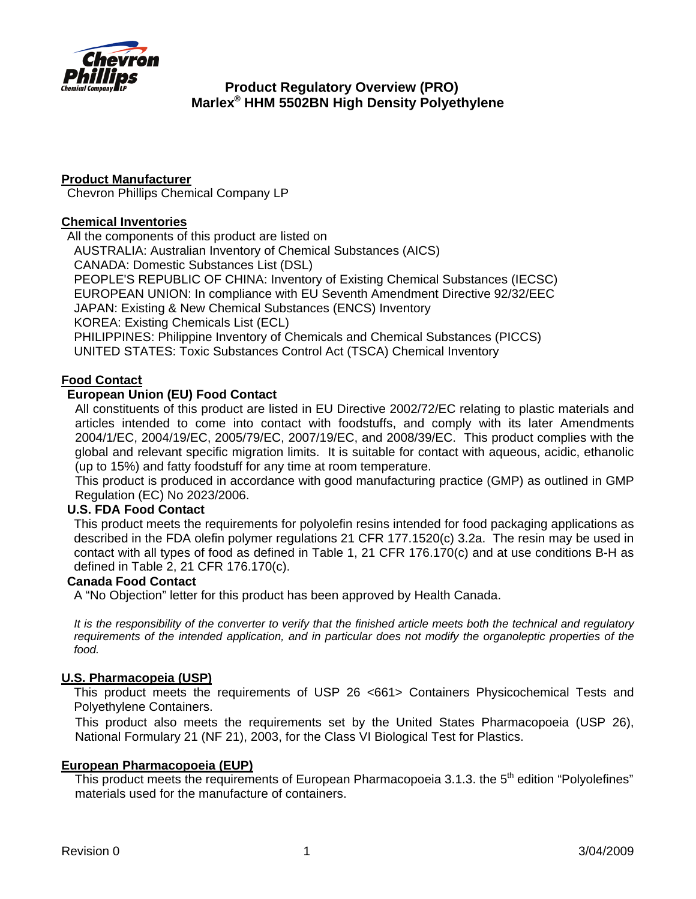

# **Product Regulatory Overview (PRO) Marlex® HHM 5502BN High Density Polyethylene**

## **Product Manufacturer**

Chevron Phillips Chemical Company LP

### **Chemical Inventories**

All the components of this product are listed on

AUSTRALIA: Australian Inventory of Chemical Substances (AICS)

CANADA: Domestic Substances List (DSL)

PEOPLE'S REPUBLIC OF CHINA: Inventory of Existing Chemical Substances (IECSC) EUROPEAN UNION: In compliance with EU Seventh Amendment Directive 92/32/EEC

JAPAN: Existing & New Chemical Substances (ENCS) Inventory

KOREA: Existing Chemicals List (ECL)

PHILIPPINES: Philippine Inventory of Chemicals and Chemical Substances (PICCS)

UNITED STATES: Toxic Substances Control Act (TSCA) Chemical Inventory

### **Food Contact**

### **European Union (EU) Food Contact**

All constituents of this product are listed in EU Directive 2002/72/EC relating to plastic materials and articles intended to come into contact with foodstuffs, and comply with its later Amendments [2004/1/EC, 2004/19/EC,](http://ec.europa.eu/food/food/chemicalsafety/foodcontact/legisl_list_en.htm#04-01) [2005/79/EC](http://ec.europa.eu/food/food/chemicalsafety/foodcontact/legisl_list_en.htm#05-79), 2007/19/EC, and 2008/39/EC. This product complies with the global and relevant specific migration limits. It is suitable for contact with aqueous, acidic, ethanolic (up to 15%) and fatty foodstuff for any time at room temperature.

This product is produced in accordance with good manufacturing practice (GMP) as outlined in GMP Regulation (EC) No 2023/2006.

### **U.S. FDA Food Contact**

This product meets the requirements for polyolefin resins intended for food packaging applications as described in the FDA olefin polymer regulations 21 CFR 177.1520(c) 3.2a. The resin may be used in contact with all types of food as defined in Table 1, 21 CFR 176.170(c) and at use conditions B-H as defined in Table 2, 21 CFR 176.170(c).

### **Canada Food Contact**

A "No Objection" letter for this product has been approved by Health Canada.

*It is the responsibility of the converter to verify that the finished article meets both the technical and regulatory*  requirements of the intended application, and in particular does not modify the organoleptic properties of the *food.*

## **U.S. Pharmacopeia (USP)**

This product meets the requirements of USP 26 <661> Containers Physicochemical Tests and Polyethylene Containers.

This product also meets the requirements set by the United States Pharmacopoeia (USP 26), National Formulary 21 (NF 21), 2003, for the Class VI Biological Test for Plastics.

### **European Pharmacopoeia (EUP)**

This product meets the requirements of European Pharmacopoeia 3.1.3. the  $5<sup>th</sup>$  edition "Polyolefines" materials used for the manufacture of containers.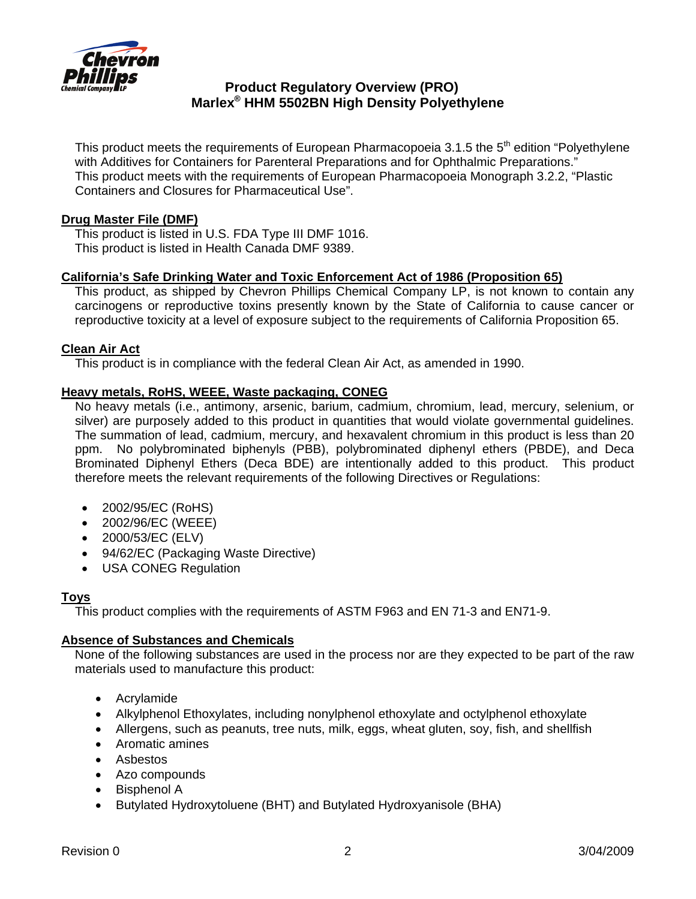

# **Product Regulatory Overview (PRO) Marlex® HHM 5502BN High Density Polyethylene**

This product meets the requirements of European Pharmacopoeia 3.1.5 the  $5<sup>th</sup>$  edition "Polyethylene with Additives for Containers for Parenteral Preparations and for Ophthalmic Preparations." This product meets with the requirements of European Pharmacopoeia Monograph 3.2.2, "Plastic Containers and Closures for Pharmaceutical Use".

## **Drug Master File (DMF)**

This product is listed in U.S. FDA Type III DMF 1016. This product is listed in Health Canada DMF 9389.

## **California's [Safe Drinking Water and Toxic Enforcement Act of 1986](http://www.oehha.ca.gov/prop65/law/P65law72003.html) (Proposition 65)**

This product, as shipped by Chevron Phillips Chemical Company LP, is not known to contain any carcinogens or reproductive toxins presently known by the State of California to cause cancer or reproductive toxicity at a level of exposure subject to the requirements of California Proposition 65.

### **Clean Air Act**

This product is in compliance with the federal Clean Air Act, as amended in 1990.

### **Heavy metals, RoHS, WEEE, Waste packaging, CONEG**

No heavy metals (i.e., antimony, arsenic, barium, cadmium, chromium, lead, mercury, selenium, or silver) are purposely added to this product in quantities that would violate governmental guidelines. The summation of lead, cadmium, mercury, and hexavalent chromium in this product is less than 20 ppm. No polybrominated biphenyls (PBB), polybrominated diphenyl ethers (PBDE), and Deca Brominated Diphenyl Ethers (Deca BDE) are intentionally added to this product. This product therefore meets the relevant requirements of the following Directives or Regulations:

- 2002/95/EC (RoHS)
- 2002/96/EC (WEEE)
- 2000/53/EC (ELV)
- 94/62/EC (Packaging Waste Directive)
- USA CONEG Regulation

## **Toys**

This product complies with the requirements of ASTM F963 and EN 71-3 and EN71-9.

### **Absence of Substances and Chemicals**

None of the following substances are used in the process nor are they expected to be part of the raw materials used to manufacture this product:

- Acrylamide
- Alkylphenol Ethoxylates, including nonylphenol ethoxylate and octylphenol ethoxylate
- Allergens, such as peanuts, tree nuts, milk, eggs, wheat gluten, soy, fish, and shellfish
- Aromatic amines
- Asbestos
- Azo compounds
- Bisphenol A
- Butylated Hydroxytoluene (BHT) and Butylated Hydroxyanisole (BHA)